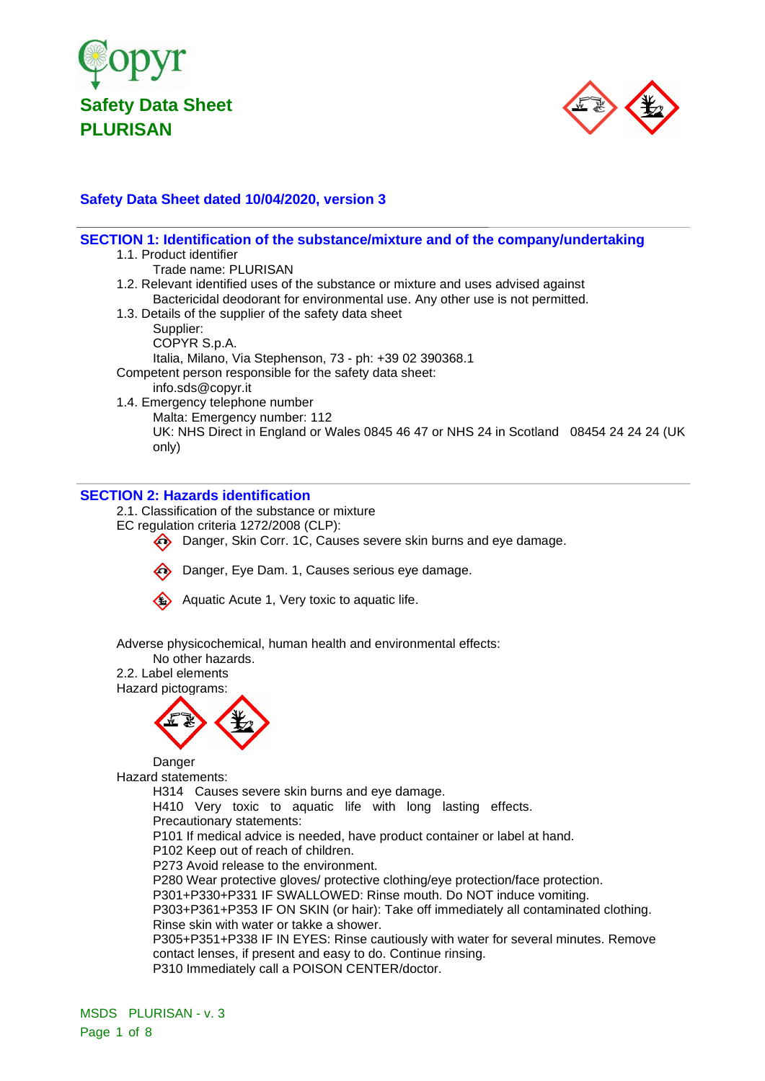



# **Safety Data Sheet dated 10/04/2020, version 3**

| SECTION 1: Identification of the substance/mixture and of the company/undertaking       |
|-----------------------------------------------------------------------------------------|
| 1.1. Product identifier                                                                 |
| Trade name: PLURISAN                                                                    |
| 1.2. Relevant identified uses of the substance or mixture and uses advised against      |
| Bactericidal deodorant for environmental use. Any other use is not permitted.           |
| 1.3. Details of the supplier of the safety data sheet                                   |
| Supplier:                                                                               |
| COPYR S.p.A.                                                                            |
| Italia, Milano, Via Stephenson, 73 - ph: +39 02 390368.1                                |
| Competent person responsible for the safety data sheet:                                 |
| info.sds@copyr.it                                                                       |
| 1.4. Emergency telephone number                                                         |
| Malta: Emergency number: 112                                                            |
| UK: NHS Direct in England or Wales 0845 46 47 or NHS 24 in Scotland 08454 24 24 24 (UK) |
| only)                                                                                   |
|                                                                                         |
|                                                                                         |

### **SECTION 2: Hazards identification**

2.1. Classification of the substance or mixture

- EC regulation criteria 1272/2008 (CLP):
	- Danger, Skin Corr. 1C, Causes severe skin burns and eye damage.
	- Danger, Eye Dam. 1, Causes serious eye damage.



Aquatic Acute 1, Very toxic to aquatic life.

Adverse physicochemical, human health and environmental effects:

No other hazards. 2.2. Label elements



Danger Hazard statements:

H314 Causes severe skin burns and eye damage.

H410 Very toxic to aquatic life with long lasting effects. Precautionary statements:

P101 If medical advice is needed, have product container or label at hand.

P102 Keep out of reach of children.

P273 Avoid release to the environment.

P280 Wear protective gloves/ protective clothing/eye protection/face protection.

P301+P330+P331 IF SWALLOWED: Rinse mouth. Do NOT induce vomiting.

P303+P361+P353 IF ON SKIN (or hair): Take off immediately all contaminated clothing. Rinse skin with water or takke a shower.

P305+P351+P338 IF IN EYES: Rinse cautiously with water for several minutes. Remove contact lenses, if present and easy to do. Continue rinsing.

P310 Immediately call a POISON CENTER/doctor.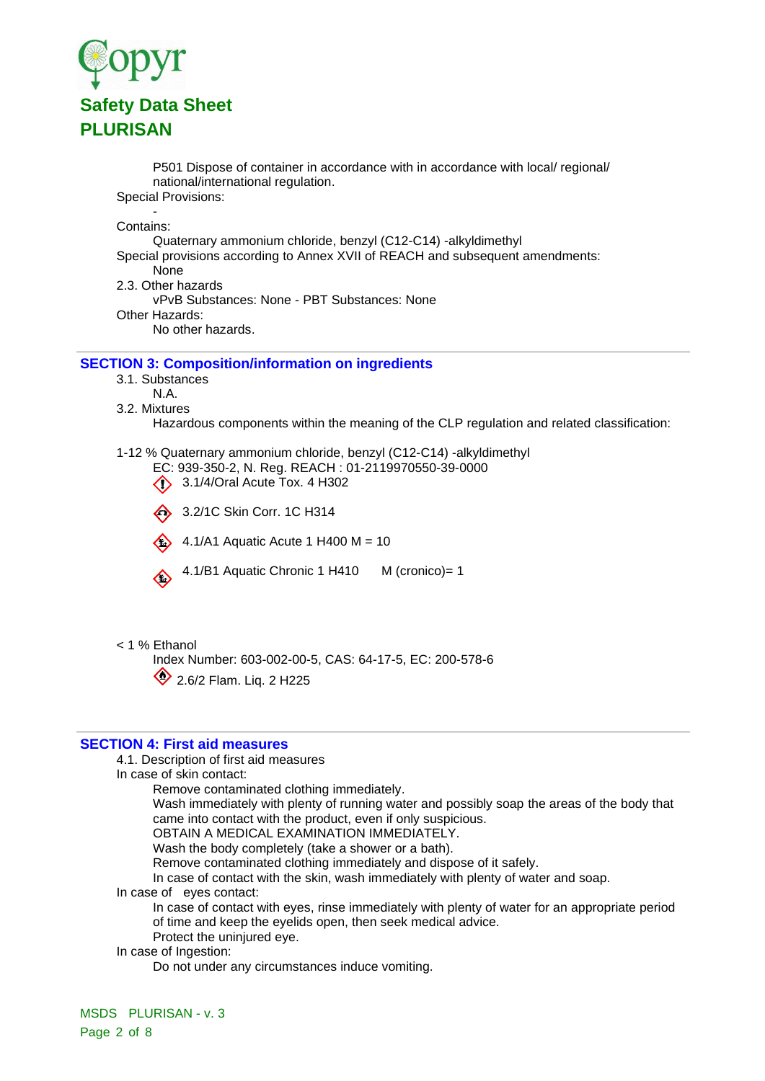

P501 Dispose of container in accordance with in accordance with local/ regional/ national/international regulation.

Special Provisions: -

Contains:

Quaternary ammonium chloride, benzyl (C12-C14) -alkyldimethyl

Special provisions according to Annex XVII of REACH and subsequent amendments:

None

2.3. Other hazards

vPvB Substances: None - PBT Substances: None

Other Hazards:

No other hazards.

#### **SECTION 3: Composition/information on ingredients**

3.1. Substances

- N.A.
- 3.2. Mixtures

Hazardous components within the meaning of the CLP regulation and related classification:

1-12 % Quaternary ammonium chloride, benzyl (C12-C14) -alkyldimethyl

EC: 939-350-2, N. Reg. REACH : 01-2119970550-39-0000

**3.1/4/Oral Acute Tox. 4 H302** 

3.2/1C Skin Corr. 1C H314

4.1/A1 Aquatic Acute 1 H400  $M = 10$ 

4.1/B1 Aquatic Chronic 1 H410 M (cronico)= 1

< 1 % Ethanol

Index Number: 603-002-00-5, CAS: 64-17-5, EC: 200-578-6 2.6/2 Flam. Liq. 2 H225

#### **SECTION 4: First aid measures**

4.1. Description of first aid measures

In case of skin contact:

Remove contaminated clothing immediately.

Wash immediately with plenty of running water and possibly soap the areas of the body that came into contact with the product, even if only suspicious.

OBTAIN A MEDICAL EXAMINATION IMMEDIATELY.

Wash the body completely (take a shower or a bath).

Remove contaminated clothing immediately and dispose of it safely.

In case of contact with the skin, wash immediately with plenty of water and soap.

In case of eyes contact:

In case of contact with eyes, rinse immediately with plenty of water for an appropriate period of time and keep the eyelids open, then seek medical advice.

Protect the uninjured eye.

In case of Ingestion:

Do not under any circumstances induce vomiting.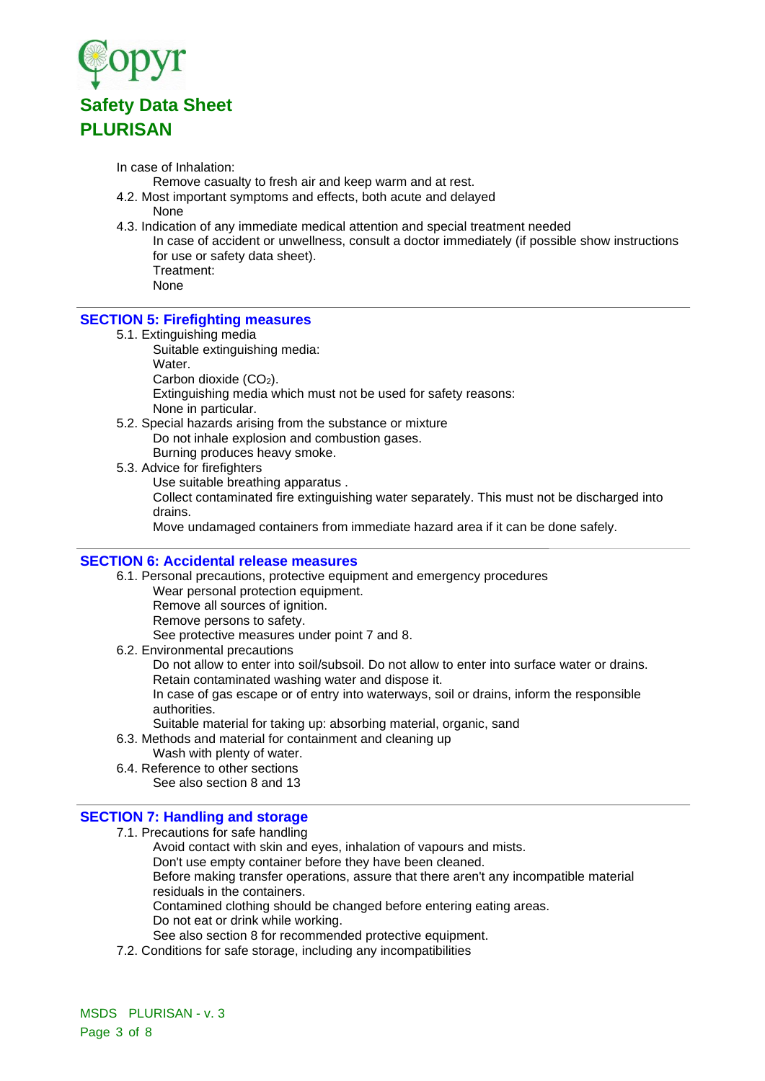

In case of Inhalation:

Remove casualty to fresh air and keep warm and at rest.

- 4.2. Most important symptoms and effects, both acute and delayed None
- 4.3. Indication of any immediate medical attention and special treatment needed
	- In case of accident or unwellness, consult a doctor immediately (if possible show instructions for use or safety data sheet). Treatment:

None

### **SECTION 5: Firefighting measures**

5.1. Extinguishing media

Suitable extinguishing media:

Water.

Carbon dioxide (CO<sub>2</sub>).

Extinguishing media which must not be used for safety reasons:

None in particular.

5.2. Special hazards arising from the substance or mixture

Do not inhale explosion and combustion gases.

Burning produces heavy smoke. 5.3. Advice for firefighters

Use suitable breathing apparatus .

Collect contaminated fire extinguishing water separately. This must not be discharged into drains.

Move undamaged containers from immediate hazard area if it can be done safely.

### **SECTION 6: Accidental release measures**

6.1. Personal precautions, protective equipment and emergency procedures Wear personal protection equipment.

Remove all sources of ignition.

Remove persons to safety.

See protective measures under point 7 and 8.

6.2. Environmental precautions

Do not allow to enter into soil/subsoil. Do not allow to enter into surface water or drains. Retain contaminated washing water and dispose it.

In case of gas escape or of entry into waterways, soil or drains, inform the responsible authorities.

- Suitable material for taking up: absorbing material, organic, sand
- 6.3. Methods and material for containment and cleaning up
- Wash with plenty of water. 6.4. Reference to other sections
	- See also section 8 and 13

#### **SECTION 7: Handling and storage**

7.1. Precautions for safe handling

Avoid contact with skin and eyes, inhalation of vapours and mists. Don't use empty container before they have been cleaned. Before making transfer operations, assure that there aren't any incompatible material residuals in the containers. Contamined clothing should be changed before entering eating areas. Do not eat or drink while working. See also section 8 for recommended protective equipment.

7.2. Conditions for safe storage, including any incompatibilities

MSDS PLURISAN - v. 3 Page 3 of 8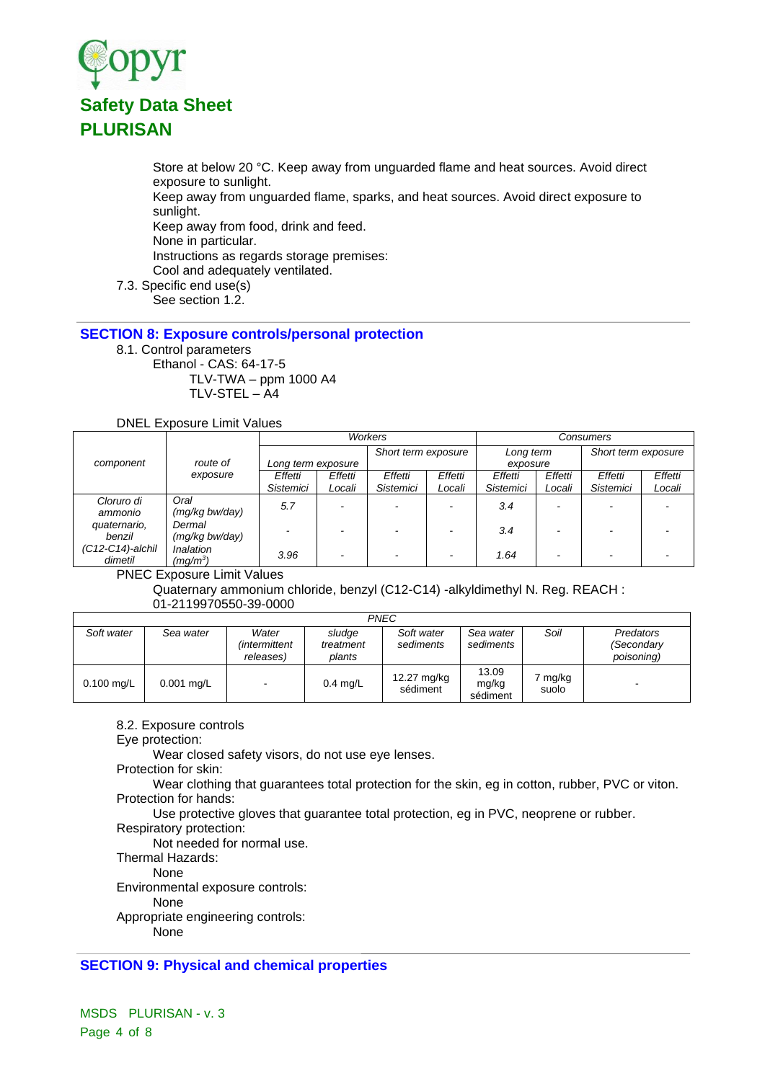

Store at below 20 °C. Keep away from unguarded flame and heat sources. Avoid direct exposure to sunlight.

Keep away from unguarded flame, sparks, and heat sources. Avoid direct exposure to sunlight.

Keep away from food, drink and feed.

None in particular.

Instructions as regards storage premises:

Cool and adequately ventilated.

7.3. Specific end use(s)

See section 1.2.

# **SECTION 8: Exposure controls/personal protection**

8.1. Control parameters Ethanol - CAS: 64-17-5 TLV-TWA – ppm 1000 A4

TLV-STEL – A4

DNEL Exposure Limit Values

|                     |                      | Workers            |         |                     |         | Consumers        |         |                     |         |
|---------------------|----------------------|--------------------|---------|---------------------|---------|------------------|---------|---------------------|---------|
|                     | route of<br>exposure |                    |         | Short term exposure |         | Long term        |         | Short term exposure |         |
| component           |                      | Long term exposure |         |                     |         | exposure         |         |                     |         |
|                     |                      | Effetti            | Effetti | Effetti             | Effetti | Effetti          | Effetti | Effetti             | Effetti |
|                     |                      | <b>Sistemici</b>   | Locali  | Sistemici           | Locali  | <b>Sistemici</b> | Locali  | Sistemici           | Locali  |
| Cloruro di          | Oral                 | 5.7                |         |                     |         | 3.4              |         |                     |         |
| ammonio             | (mg/kg bw/day)       |                    |         |                     |         |                  |         |                     |         |
| quaternario,        | Dermal               |                    |         |                     |         | 3.4              |         |                     |         |
| benzil              | (mg/kg bw/day)       |                    |         |                     |         |                  |         |                     |         |
| $(C12-C14)$ -alchil | Inalation            | 3.96               | -       |                     |         | 1.64             |         |                     |         |
| dimetil             | $(mq/m^3)$           |                    |         |                     |         |                  |         |                     |         |

PNEC Exposure Limit Values

Quaternary ammonium chloride, benzyl (C12-C14) -alkyldimethyl N. Reg. REACH : 01-2119970550-39-0000

|              |            |                                            |                               | <b>PNEC</b>             |                            |                |                                              |
|--------------|------------|--------------------------------------------|-------------------------------|-------------------------|----------------------------|----------------|----------------------------------------------|
| Soft water   | Sea water  | Water<br><i>(intermittent</i><br>releases) | sludge<br>treatment<br>plants | Soft water<br>sediments | Sea water<br>sediments     | Soil           | <b>Predators</b><br>(Secondary<br>poisoning) |
| $0.100$ mg/L | 0.001 mg/L | -                                          | $0.4$ mg/L                    | 12.27 mg/kg<br>sédiment | 13.09<br>mg/kg<br>sédiment | mg/kg<br>suolo |                                              |

8.2. Exposure controls

Eye protection:

Wear closed safety visors, do not use eye lenses.

Protection for skin:

Wear clothing that guarantees total protection for the skin, eg in cotton, rubber, PVC or viton. Protection for hands:

Use protective gloves that guarantee total protection, eg in PVC, neoprene or rubber.

Respiratory protection:

Not needed for normal use.

Thermal Hazards:

None

Environmental exposure controls:

None

Appropriate engineering controls:

None

# **SECTION 9: Physical and chemical properties**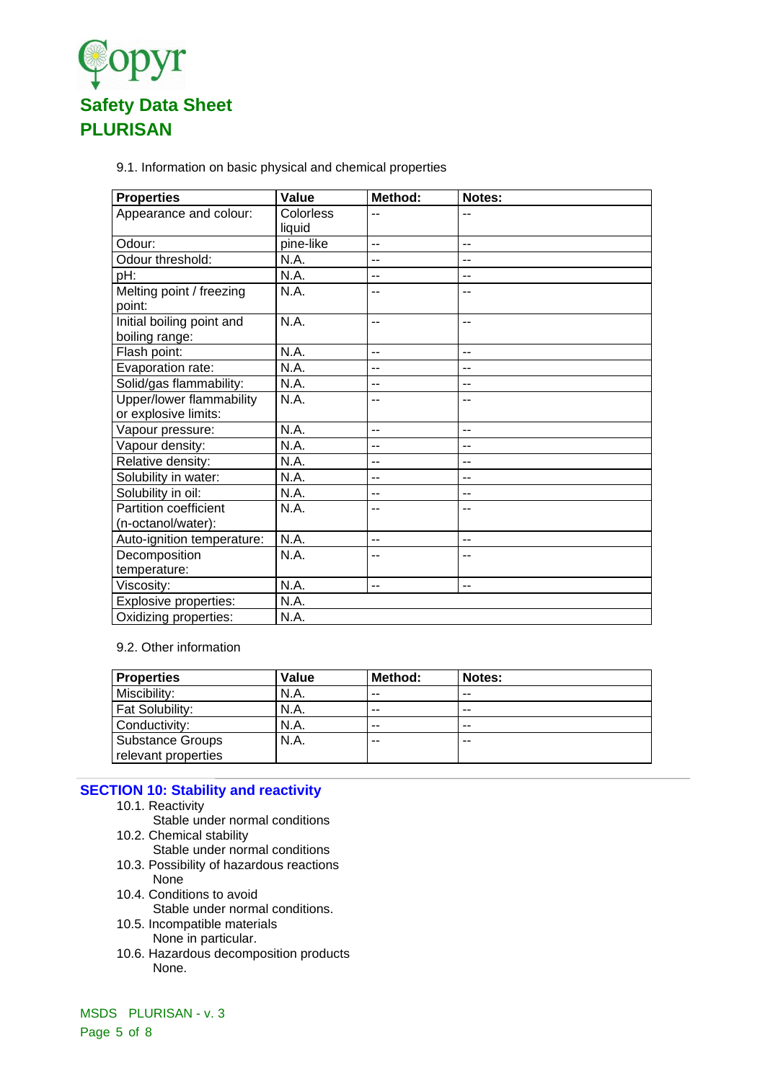

9.1. Information on basic physical and chemical properties

| <b>Properties</b>                                  | Value               | Method:        | Notes: |
|----------------------------------------------------|---------------------|----------------|--------|
| Appearance and colour:                             | Colorless<br>liquid | $-$            | --     |
| Odour:                                             | pine-like           | $-$            | $-$    |
| Odour threshold:                                   | N.A.                | $-$            | $-$    |
| pH:                                                | N.A.                | --             | --     |
| Melting point / freezing<br>point:                 | N.A.                | --             | --     |
| Initial boiling point and<br>boiling range:        | N.A.                | $-$            | --     |
| Flash point:                                       | N.A.                | $-$            | $-$    |
| Evaporation rate:                                  | N.A.                | --             | --     |
| Solid/gas flammability:                            | N.A.                | --             | --     |
| Upper/lower flammability<br>or explosive limits:   | N.A.                | $-$            | --     |
| Vapour pressure:                                   | N.A.                | $\overline{a}$ | $-$    |
| Vapour density:                                    | N.A.                | $-$            | --     |
| Relative density:                                  | N.A.                | --             | --     |
| Solubility in water:                               | N.A.                | --             | --     |
| Solubility in oil:                                 | N.A.                | $-$            | --     |
| <b>Partition coefficient</b><br>(n-octanol/water): | N.A.                | --             |        |
| Auto-ignition temperature:                         | N.A.                | $-$            | $-$    |
| Decomposition<br>temperature:                      | N.A.                | --             |        |
| Viscosity:                                         | N.A.                | $-$            | $-$    |
| <b>Explosive properties:</b>                       | N.A.                |                |        |
| Oxidizing properties:                              | N.A.                |                |        |

#### 9.2. Other information

| <b>Properties</b>                              | Value | Method: | Notes: |
|------------------------------------------------|-------|---------|--------|
| Miscibility:                                   | N.A.  | $- -$   | $- -$  |
| <b>Fat Solubility:</b>                         | N.A.  | $- -$   | $- -$  |
| Conductivity:                                  | N.A.  | $- -$   | $- -$  |
| <b>Substance Groups</b><br>relevant properties | N.A.  | $- -$   | --     |

# **SECTION 10: Stability and reactivity**

- 10.1. Reactivity
	- Stable under normal conditions
- 10.2. Chemical stability
	- Stable under normal conditions
- 10.3. Possibility of hazardous reactions None
- 10.4. Conditions to avoid
	- Stable under normal conditions.
- 10.5. Incompatible materials None in particular.
- 10.6. Hazardous decomposition products None.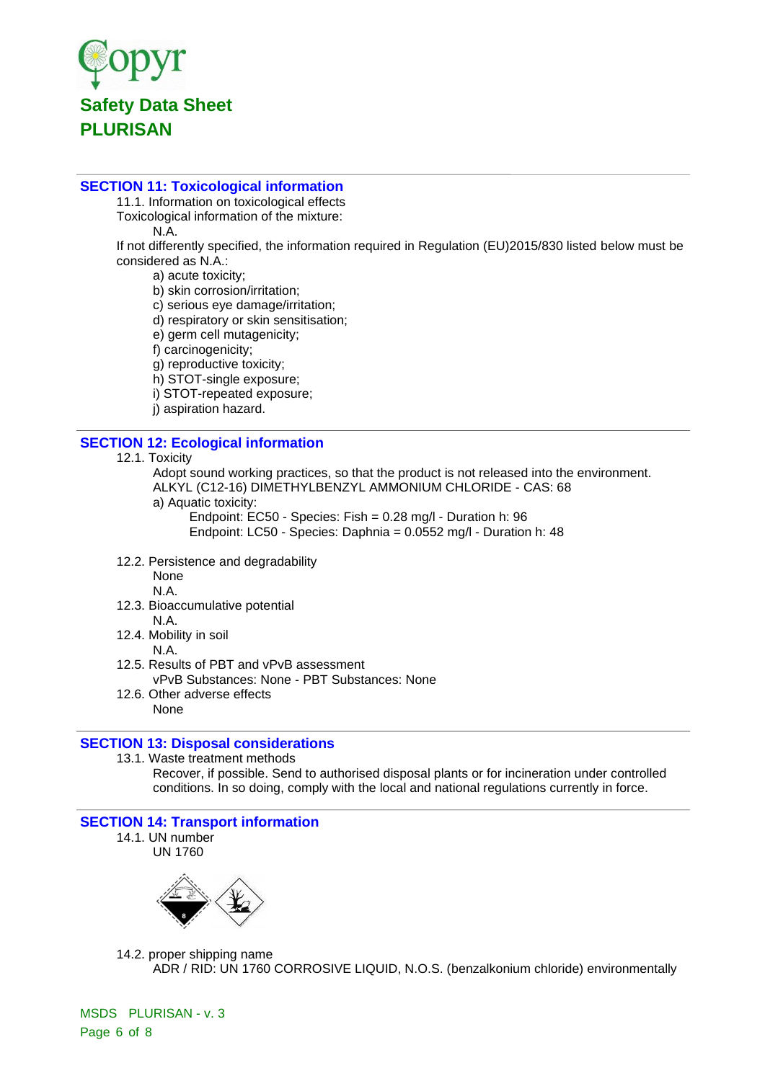

### **SECTION 11: Toxicological information**

11.1. Information on toxicological effects Toxicological information of the mixture:

N.A.

If not differently specified, the information required in Regulation (EU)2015/830 listed below must be considered as N.A.:

a) acute toxicity;

- b) skin corrosion/irritation;
- c) serious eye damage/irritation;
- d) respiratory or skin sensitisation;
- e) germ cell mutagenicity;
- f) carcinogenicity;

g) reproductive toxicity;

h) STOT-single exposure;

i) STOT-repeated exposure;

j) aspiration hazard.

# **SECTION 12: Ecological information**

12.1. Toxicity

Adopt sound working practices, so that the product is not released into the environment. ALKYL (C12-16) DIMETHYLBENZYL AMMONIUM CHLORIDE - CAS: 68

a) Aquatic toxicity:

Endpoint: EC50 - Species: Fish = 0.28 mg/l - Duration h: 96

Endpoint: LC50 - Species: Daphnia = 0.0552 mg/l - Duration h: 48

12.2. Persistence and degradability

None

N.A.

12.3. Bioaccumulative potential

N.A.

- 12.4. Mobility in soil
	- N.A.
- 12.5. Results of PBT and vPvB assessment vPvB Substances: None - PBT Substances: None
- 12.6. Other adverse effects None

# **SECTION 13: Disposal considerations**

13.1. Waste treatment methods

Recover, if possible. Send to authorised disposal plants or for incineration under controlled conditions. In so doing, comply with the local and national regulations currently in force.

### **SECTION 14: Transport information**

14.1. UN number

UN 1760



14.2. proper shipping name ADR / RID: UN 1760 CORROSIVE LIQUID, N.O.S. (benzalkonium chloride) environmentally

MSDS PLURISAN - v. 3 Page 6 of 8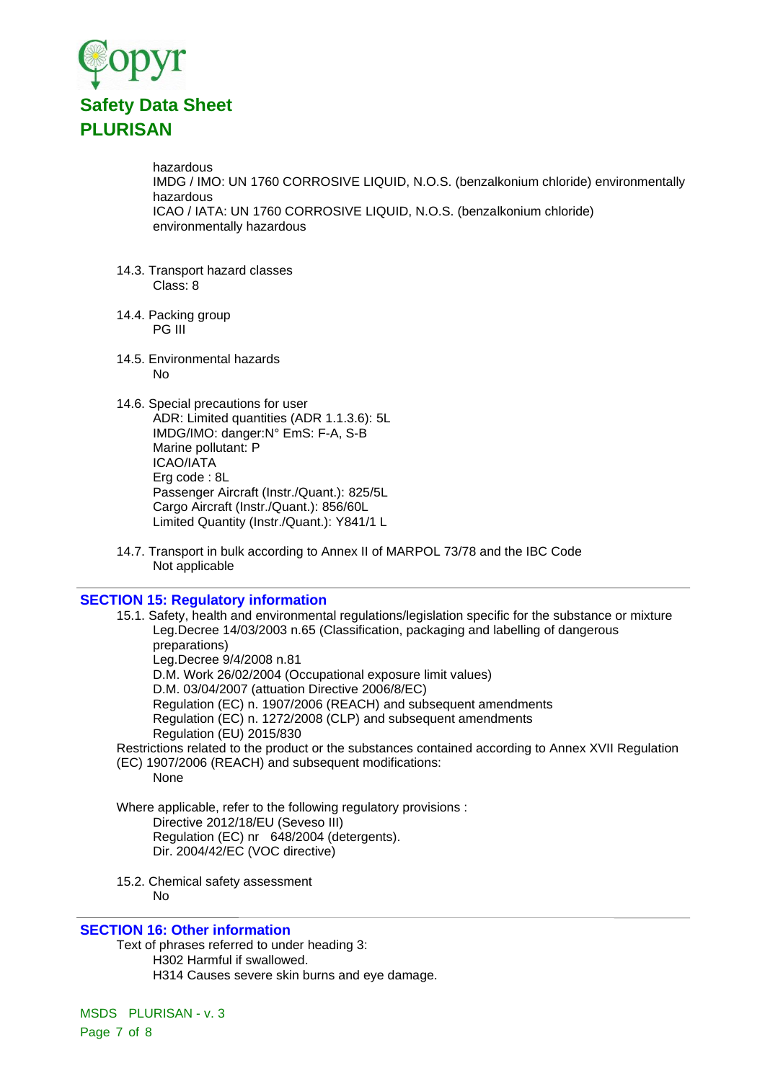

hazardous IMDG / IMO: UN 1760 CORROSIVE LIQUID, N.O.S. (benzalkonium chloride) environmentally hazardous ICAO / IATA: UN 1760 CORROSIVE LIQUID, N.O.S. (benzalkonium chloride) environmentally hazardous

- 14.3. Transport hazard classes Class: 8
- 14.4. Packing group PG III
- 14.5. Environmental hazards No
- 14.6. Special precautions for user ADR: Limited quantities (ADR 1.1.3.6): 5L IMDG/IMO: danger:N° EmS: F-A, S-B Marine pollutant: P ICAO/IATA Erg code : 8L Passenger Aircraft (Instr./Quant.): 825/5L Cargo Aircraft (Instr./Quant.): 856/60L Limited Quantity (Instr./Quant.): Y841/1 L
- 14.7. Transport in bulk according to Annex II of MARPOL 73/78 and the IBC Code Not applicable

### **SECTION 15: Regulatory information**

15.1. Safety, health and environmental regulations/legislation specific for the substance or mixture Leg.Decree 14/03/2003 n.65 (Classification, packaging and labelling of dangerous preparations) Leg.Decree 9/4/2008 n.81 D.M. Work 26/02/2004 (Occupational exposure limit values) D.M. 03/04/2007 (attuation Directive 2006/8/EC) Regulation (EC) n. 1907/2006 (REACH) and subsequent amendments Regulation (EC) n. 1272/2008 (CLP) and subsequent amendments Regulation (EU) 2015/830 Restrictions related to the product or the substances contained according to Annex XVII Regulation (EC) 1907/2006 (REACH) and subsequent modifications: None

Where applicable, refer to the following regulatory provisions : Directive 2012/18/EU (Seveso III) Regulation (EC) nr 648/2004 (detergents). Dir. 2004/42/EC (VOC directive)

15.2. Chemical safety assessment No

#### **SECTION 16: Other information**

Text of phrases referred to under heading 3: H302 Harmful if swallowed. H314 Causes severe skin burns and eye damage.